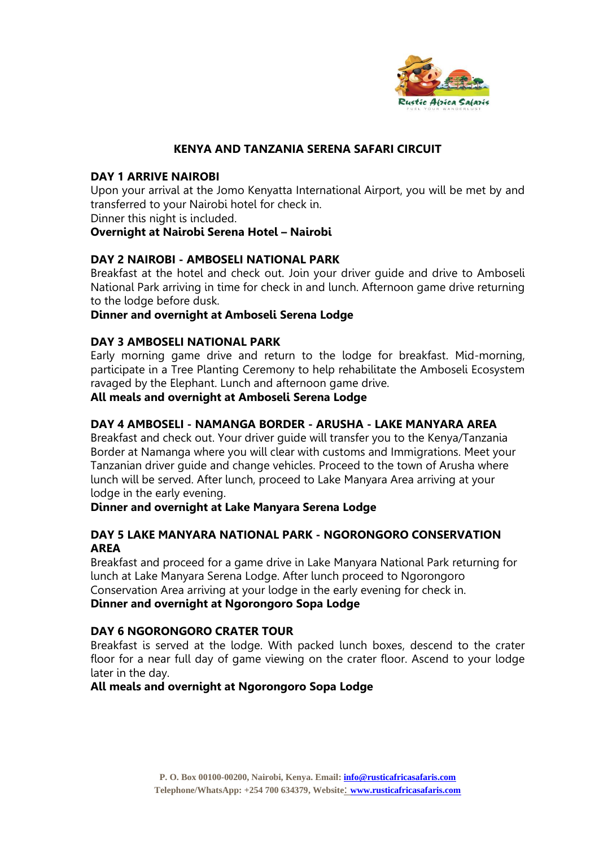

# **KENYA AND TANZANIA SERENA SAFARI CIRCUIT**

#### **DAY 1 ARRIVE NAIROBI**

Upon your arrival at the Jomo Kenyatta International Airport, you will be met by and transferred to your Nairobi hotel for check in.

Dinner this night is included.

# **Overnight at Nairobi Serena Hotel – Nairobi**

# **DAY 2 NAIROBI - AMBOSELI NATIONAL PARK**

Breakfast at the hotel and check out. Join your driver guide and drive to Amboseli National Park arriving in time for check in and lunch. Afternoon game drive returning to the lodge before dusk.

#### **Dinner and overnight at Amboseli Serena Lodge**

#### **DAY 3 AMBOSELI NATIONAL PARK**

Early morning game drive and return to the lodge for breakfast. Mid-morning, participate in a Tree Planting Ceremony to help rehabilitate the Amboseli Ecosystem ravaged by the Elephant. Lunch and afternoon game drive.

#### **All meals and overnight at Amboseli Serena Lodge**

# **DAY 4 AMBOSELI - NAMANGA BORDER - ARUSHA - LAKE MANYARA AREA**

Breakfast and check out. Your driver guide will transfer you to the Kenya/Tanzania Border at Namanga where you will clear with customs and Immigrations. Meet your Tanzanian driver guide and change vehicles. Proceed to the town of Arusha where lunch will be served. After lunch, proceed to Lake Manyara Area arriving at your lodge in the early evening.

**Dinner and overnight at Lake Manyara Serena Lodge**

# **DAY 5 LAKE MANYARA NATIONAL PARK - NGORONGORO CONSERVATION AREA**

Breakfast and proceed for a game drive in Lake Manyara National Park returning for lunch at Lake Manyara Serena Lodge. After lunch proceed to Ngorongoro Conservation Area arriving at your lodge in the early evening for check in. **Dinner and overnight at Ngorongoro Sopa Lodge**

# **DAY 6 NGORONGORO CRATER TOUR**

Breakfast is served at the lodge. With packed lunch boxes, descend to the crater floor for a near full day of game viewing on the crater floor. Ascend to your lodge later in the day.

# **All meals and overnight at Ngorongoro Sopa Lodge**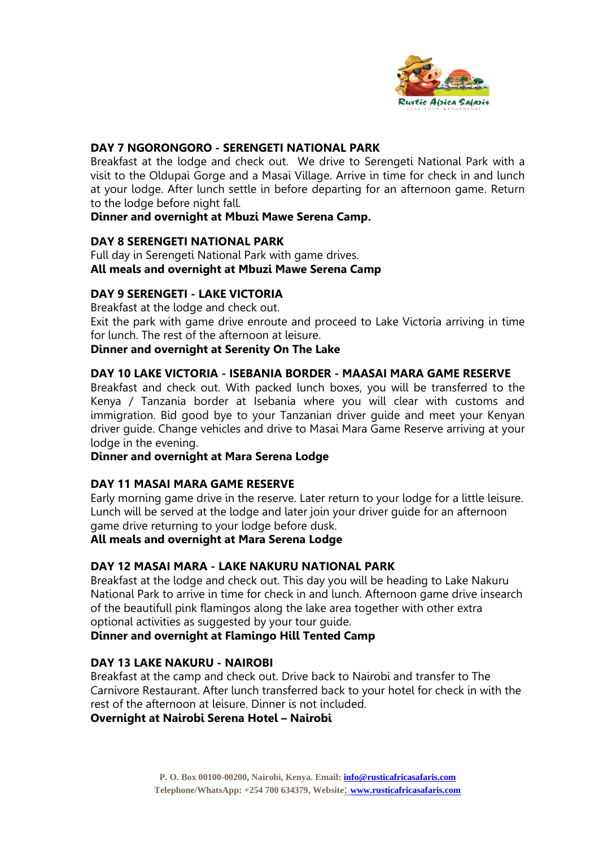

# **DAY 7 NGORONGORO - SERENGETI NATIONAL PARK**

Breakfast at the lodge and check out. We drive to Serengeti National Park with a visit to the Oldupai Gorge and a Masai Village. Arrive in time for check in and lunch at your lodge. After lunch settle in before departing for an afternoon game. Return to the lodge before night fall.

# **Dinner and overnight at Mbuzi Mawe Serena Camp.**

# **DAY 8 SERENGETI NATIONAL PARK**

Full day in Serengeti National Park with game drives. **All meals and overnight at Mbuzi Mawe Serena Camp**

# **DAY 9 SERENGETI - LAKE VICTORIA**

Breakfast at the lodge and check out.

Exit the park with game drive enroute and proceed to Lake Victoria arriving in time for lunch. The rest of the afternoon at leisure.

#### **Dinner and overnight at Serenity On The Lake**

# **DAY 10 LAKE VICTORIA - ISEBANIA BORDER - MAASAI MARA GAME RESERVE**

Breakfast and check out. With packed lunch boxes, you will be transferred to the Kenya / Tanzania border at Isebania where you will clear with customs and immigration. Bid good bye to your Tanzanian driver guide and meet your Kenyan driver guide. Change vehicles and drive to Masai Mara Game Reserve arriving at your lodge in the evening.

#### **Dinner and overnight at Mara Serena Lodge**

# **DAY 11 MASAI MARA GAME RESERVE**

Early morning game drive in the reserve. Later return to your lodge for a little leisure. Lunch will be served at the lodge and later join your driver guide for an afternoon game drive returning to your lodge before dusk.

# **All meals and overnight at Mara Serena Lodge**

# **DAY 12 MASAI MARA - LAKE NAKURU NATIONAL PARK**

Breakfast at the lodge and check out. This day you will be heading to Lake Nakuru National Park to arrive in time for check in and lunch. Afternoon game drive insearch of the beautifull pink flamingos along the lake area together with other extra optional activities as suggested by your tour guide.

# **Dinner and overnight at Flamingo Hill Tented Camp**

#### **DAY 13 LAKE NAKURU - NAIROBI**

Breakfast at the camp and check out. Drive back to Nairobi and transfer to The Carnivore Restaurant. After lunch transferred back to your hotel for check in with the rest of the afternoon at leisure. Dinner is not included.

**Overnight at Nairobi Serena Hotel – Nairobi**